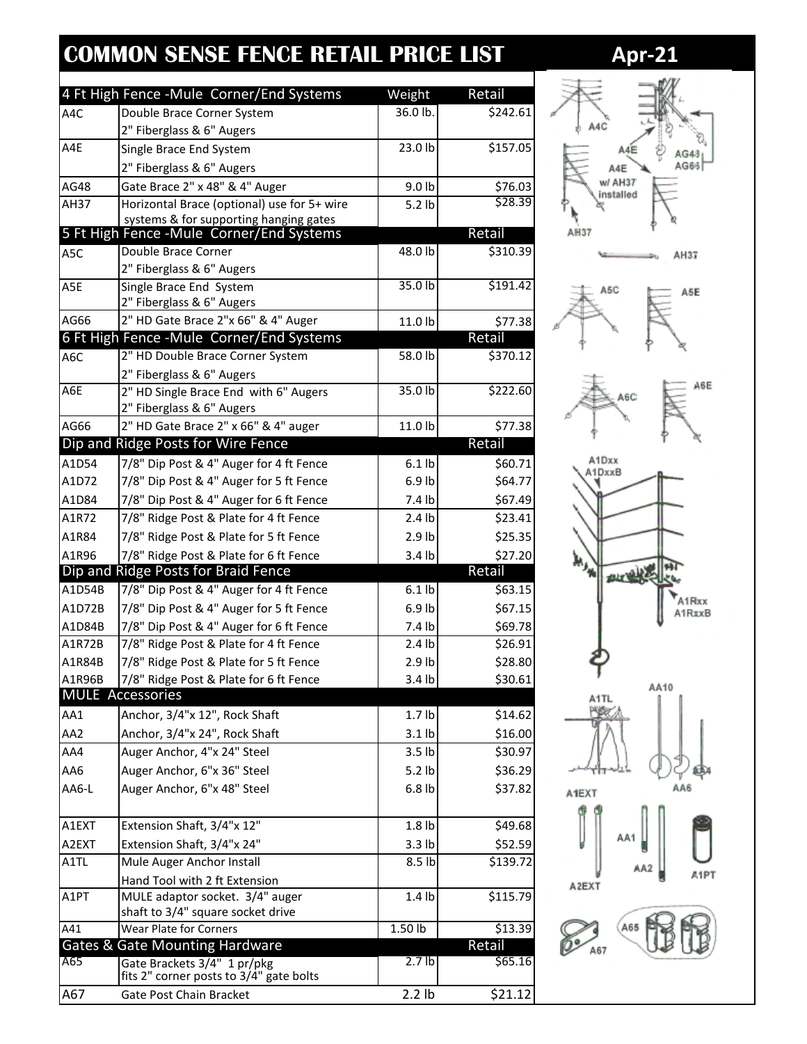## **COMMON SENSE FENCE RETAIL PRICE LIST 4pr-21**

| 36.0 lb.<br>A4C<br>Double Brace Corner System<br>2" Fiberglass & 6" Augers<br>A4E<br>23.0 lb<br>Single Brace End System<br>2" Fiberglass & 6" Augers<br>AG48<br>Gate Brace 2" x 48" & 4" Auger<br>\$76.03<br>9.0 lb<br>Horizontal Brace (optional) use for 5+ wire<br>AH37<br>$5.2$ lb<br>systems & for supporting hanging gates<br>5 Ft High Fence -Mule Corner/End Systems<br>Retail<br>Double Brace Corner<br>48.0 lb<br>\$310.39<br>A5C<br>2" Fiberglass & 6" Augers<br>\$191.42<br>35.0 h<br>Single Brace End System<br>A5E<br>2" Fiberglass & 6" Augers<br>AG66<br>2" HD Gate Brace 2"x 66" & 4" Auger<br>11.0 lb<br>\$77.38<br>6 Ft High Fence - Mule Corner/End Systems<br>Retail<br>2" HD Double Brace Corner System<br>58.0 lb<br>\$370.12<br>A6C<br>2" Fiberglass & 6" Augers<br>A6E<br>35.0 lb<br>\$222.60<br>2" HD Single Brace End with 6" Augers<br>2" Fiberglass & 6" Augers<br>AG66<br>2" HD Gate Brace 2" x 66" & 4" auger<br>11.0 lb<br>\$77.38<br>Retail<br>Dip and Ridge Posts for Wire Fence<br>A1D54<br>7/8" Dip Post & 4" Auger for 4 ft Fence<br>$6.1$ lb<br>\$60.71<br>A1D72<br>7/8" Dip Post & 4" Auger for 5 ft Fence<br>$6.9$ lb<br>\$64.77<br>7.4 lb<br>A1D84<br>7/8" Dip Post & 4" Auger for 6 ft Fence<br>\$67.49<br>7/8" Ridge Post & Plate for 4 ft Fence<br>A1R72<br>$2.4$ lb<br>\$23.41<br>A1R84<br>7/8" Ridge Post & Plate for 5 ft Fence<br>\$25.35<br>2.9 <sub>lb</sub><br>A1R96<br>7/8" Ridge Post & Plate for 6 ft Fence<br>3.4 lb<br>\$27.20<br>Retail<br>Dip and Ridge Posts for Braid Fence<br>7/8" Dip Post & 4" Auger for 4 ft Fence<br>A1D54B<br>$6.1$ lb<br>\$63.15<br>A1D72B<br>7/8" Dip Post & 4" Auger for 5 ft Fence<br>$6.9$ lb<br>\$67.15<br>7/8" Dip Post & 4" Auger for 6 ft Fence<br>7.4 lb<br>\$69.78<br>A1D84B<br>7/8" Ridge Post & Plate for 4 ft Fence<br>A1R72B<br>$2.4$ lb<br>\$26.91<br>A1R84B<br>7/8" Ridge Post & Plate for 5 ft Fence<br>2.9 <sub>lb</sub><br>\$28.80<br>A1R96B<br>7/8" Ridge Post & Plate for 6 ft Fence<br>\$30.61<br>3.4 <sub>lb</sub><br><b>MULE Accessories</b><br>AA1<br>Anchor, 3/4"x 12", Rock Shaft<br>1.7 <sub>lb</sub><br>\$14.62<br>AA2<br>Anchor, 3/4"x 24", Rock Shaft<br>$3.1$ lb<br>\$16.00<br>AA4<br>Auger Anchor, 4"x 24" Steel<br>\$30.97<br>3.5 <sub>lb</sub><br>Auger Anchor, 6"x 36" Steel<br>AA6<br>5.2 lb<br>\$36.29<br>AA6-L<br>Auger Anchor, 6"x 48" Steel<br>6.8 <sub>lb</sub><br>\$37.82<br>A1EXT<br>Extension Shaft, 3/4"x 12"<br>1.8 <sub>lb</sub><br>A2EXT<br>Extension Shaft, 3/4"x 24"<br>3.3 lb<br>Mule Auger Anchor Install<br>8.5 lb<br>A1TL<br>Hand Tool with 2 ft Extension<br>MULE adaptor socket. 3/4" auger<br>A1PT<br>1.4 <sub>lb</sub><br>shaft to 3/4" square socket drive<br>Wear Plate for Corners<br>$\overline{1.50}$ lb<br>A41<br>\$13.39<br><b>Gates &amp; Gate Mounting Hardware</b><br>Retail<br>A65<br>2.7 <sub>lb</sub><br>\$65.16<br>Gate Brackets 3/4" 1 pr/pkg<br>fits 2" corner posts to 3/4" gate bolts |     | 4 Ft High Fence - Mule Corner/End Systems | Weight | Retail   |
|-------------------------------------------------------------------------------------------------------------------------------------------------------------------------------------------------------------------------------------------------------------------------------------------------------------------------------------------------------------------------------------------------------------------------------------------------------------------------------------------------------------------------------------------------------------------------------------------------------------------------------------------------------------------------------------------------------------------------------------------------------------------------------------------------------------------------------------------------------------------------------------------------------------------------------------------------------------------------------------------------------------------------------------------------------------------------------------------------------------------------------------------------------------------------------------------------------------------------------------------------------------------------------------------------------------------------------------------------------------------------------------------------------------------------------------------------------------------------------------------------------------------------------------------------------------------------------------------------------------------------------------------------------------------------------------------------------------------------------------------------------------------------------------------------------------------------------------------------------------------------------------------------------------------------------------------------------------------------------------------------------------------------------------------------------------------------------------------------------------------------------------------------------------------------------------------------------------------------------------------------------------------------------------------------------------------------------------------------------------------------------------------------------------------------------------------------------------------------------------------------------------------------------------------------------------------------------------------------------------------------------------------------------------------------------------------------------------------------------------------------------------------------------------------------------------------------------------------------------------------------------------------------------------------------------------------------------|-----|-------------------------------------------|--------|----------|
|                                                                                                                                                                                                                                                                                                                                                                                                                                                                                                                                                                                                                                                                                                                                                                                                                                                                                                                                                                                                                                                                                                                                                                                                                                                                                                                                                                                                                                                                                                                                                                                                                                                                                                                                                                                                                                                                                                                                                                                                                                                                                                                                                                                                                                                                                                                                                                                                                                                                                                                                                                                                                                                                                                                                                                                                                                                                                                                                                       |     |                                           |        | \$242.61 |
|                                                                                                                                                                                                                                                                                                                                                                                                                                                                                                                                                                                                                                                                                                                                                                                                                                                                                                                                                                                                                                                                                                                                                                                                                                                                                                                                                                                                                                                                                                                                                                                                                                                                                                                                                                                                                                                                                                                                                                                                                                                                                                                                                                                                                                                                                                                                                                                                                                                                                                                                                                                                                                                                                                                                                                                                                                                                                                                                                       |     |                                           |        |          |
|                                                                                                                                                                                                                                                                                                                                                                                                                                                                                                                                                                                                                                                                                                                                                                                                                                                                                                                                                                                                                                                                                                                                                                                                                                                                                                                                                                                                                                                                                                                                                                                                                                                                                                                                                                                                                                                                                                                                                                                                                                                                                                                                                                                                                                                                                                                                                                                                                                                                                                                                                                                                                                                                                                                                                                                                                                                                                                                                                       |     |                                           |        | \$157.05 |
|                                                                                                                                                                                                                                                                                                                                                                                                                                                                                                                                                                                                                                                                                                                                                                                                                                                                                                                                                                                                                                                                                                                                                                                                                                                                                                                                                                                                                                                                                                                                                                                                                                                                                                                                                                                                                                                                                                                                                                                                                                                                                                                                                                                                                                                                                                                                                                                                                                                                                                                                                                                                                                                                                                                                                                                                                                                                                                                                                       |     |                                           |        |          |
|                                                                                                                                                                                                                                                                                                                                                                                                                                                                                                                                                                                                                                                                                                                                                                                                                                                                                                                                                                                                                                                                                                                                                                                                                                                                                                                                                                                                                                                                                                                                                                                                                                                                                                                                                                                                                                                                                                                                                                                                                                                                                                                                                                                                                                                                                                                                                                                                                                                                                                                                                                                                                                                                                                                                                                                                                                                                                                                                                       |     |                                           |        |          |
|                                                                                                                                                                                                                                                                                                                                                                                                                                                                                                                                                                                                                                                                                                                                                                                                                                                                                                                                                                                                                                                                                                                                                                                                                                                                                                                                                                                                                                                                                                                                                                                                                                                                                                                                                                                                                                                                                                                                                                                                                                                                                                                                                                                                                                                                                                                                                                                                                                                                                                                                                                                                                                                                                                                                                                                                                                                                                                                                                       |     |                                           |        | \$28.39  |
|                                                                                                                                                                                                                                                                                                                                                                                                                                                                                                                                                                                                                                                                                                                                                                                                                                                                                                                                                                                                                                                                                                                                                                                                                                                                                                                                                                                                                                                                                                                                                                                                                                                                                                                                                                                                                                                                                                                                                                                                                                                                                                                                                                                                                                                                                                                                                                                                                                                                                                                                                                                                                                                                                                                                                                                                                                                                                                                                                       |     |                                           |        |          |
|                                                                                                                                                                                                                                                                                                                                                                                                                                                                                                                                                                                                                                                                                                                                                                                                                                                                                                                                                                                                                                                                                                                                                                                                                                                                                                                                                                                                                                                                                                                                                                                                                                                                                                                                                                                                                                                                                                                                                                                                                                                                                                                                                                                                                                                                                                                                                                                                                                                                                                                                                                                                                                                                                                                                                                                                                                                                                                                                                       |     |                                           |        |          |
|                                                                                                                                                                                                                                                                                                                                                                                                                                                                                                                                                                                                                                                                                                                                                                                                                                                                                                                                                                                                                                                                                                                                                                                                                                                                                                                                                                                                                                                                                                                                                                                                                                                                                                                                                                                                                                                                                                                                                                                                                                                                                                                                                                                                                                                                                                                                                                                                                                                                                                                                                                                                                                                                                                                                                                                                                                                                                                                                                       |     |                                           |        |          |
|                                                                                                                                                                                                                                                                                                                                                                                                                                                                                                                                                                                                                                                                                                                                                                                                                                                                                                                                                                                                                                                                                                                                                                                                                                                                                                                                                                                                                                                                                                                                                                                                                                                                                                                                                                                                                                                                                                                                                                                                                                                                                                                                                                                                                                                                                                                                                                                                                                                                                                                                                                                                                                                                                                                                                                                                                                                                                                                                                       |     |                                           |        |          |
|                                                                                                                                                                                                                                                                                                                                                                                                                                                                                                                                                                                                                                                                                                                                                                                                                                                                                                                                                                                                                                                                                                                                                                                                                                                                                                                                                                                                                                                                                                                                                                                                                                                                                                                                                                                                                                                                                                                                                                                                                                                                                                                                                                                                                                                                                                                                                                                                                                                                                                                                                                                                                                                                                                                                                                                                                                                                                                                                                       |     |                                           |        |          |
|                                                                                                                                                                                                                                                                                                                                                                                                                                                                                                                                                                                                                                                                                                                                                                                                                                                                                                                                                                                                                                                                                                                                                                                                                                                                                                                                                                                                                                                                                                                                                                                                                                                                                                                                                                                                                                                                                                                                                                                                                                                                                                                                                                                                                                                                                                                                                                                                                                                                                                                                                                                                                                                                                                                                                                                                                                                                                                                                                       |     |                                           |        |          |
|                                                                                                                                                                                                                                                                                                                                                                                                                                                                                                                                                                                                                                                                                                                                                                                                                                                                                                                                                                                                                                                                                                                                                                                                                                                                                                                                                                                                                                                                                                                                                                                                                                                                                                                                                                                                                                                                                                                                                                                                                                                                                                                                                                                                                                                                                                                                                                                                                                                                                                                                                                                                                                                                                                                                                                                                                                                                                                                                                       |     |                                           |        |          |
|                                                                                                                                                                                                                                                                                                                                                                                                                                                                                                                                                                                                                                                                                                                                                                                                                                                                                                                                                                                                                                                                                                                                                                                                                                                                                                                                                                                                                                                                                                                                                                                                                                                                                                                                                                                                                                                                                                                                                                                                                                                                                                                                                                                                                                                                                                                                                                                                                                                                                                                                                                                                                                                                                                                                                                                                                                                                                                                                                       |     |                                           |        |          |
|                                                                                                                                                                                                                                                                                                                                                                                                                                                                                                                                                                                                                                                                                                                                                                                                                                                                                                                                                                                                                                                                                                                                                                                                                                                                                                                                                                                                                                                                                                                                                                                                                                                                                                                                                                                                                                                                                                                                                                                                                                                                                                                                                                                                                                                                                                                                                                                                                                                                                                                                                                                                                                                                                                                                                                                                                                                                                                                                                       |     |                                           |        |          |
|                                                                                                                                                                                                                                                                                                                                                                                                                                                                                                                                                                                                                                                                                                                                                                                                                                                                                                                                                                                                                                                                                                                                                                                                                                                                                                                                                                                                                                                                                                                                                                                                                                                                                                                                                                                                                                                                                                                                                                                                                                                                                                                                                                                                                                                                                                                                                                                                                                                                                                                                                                                                                                                                                                                                                                                                                                                                                                                                                       |     |                                           |        |          |
|                                                                                                                                                                                                                                                                                                                                                                                                                                                                                                                                                                                                                                                                                                                                                                                                                                                                                                                                                                                                                                                                                                                                                                                                                                                                                                                                                                                                                                                                                                                                                                                                                                                                                                                                                                                                                                                                                                                                                                                                                                                                                                                                                                                                                                                                                                                                                                                                                                                                                                                                                                                                                                                                                                                                                                                                                                                                                                                                                       |     |                                           |        |          |
|                                                                                                                                                                                                                                                                                                                                                                                                                                                                                                                                                                                                                                                                                                                                                                                                                                                                                                                                                                                                                                                                                                                                                                                                                                                                                                                                                                                                                                                                                                                                                                                                                                                                                                                                                                                                                                                                                                                                                                                                                                                                                                                                                                                                                                                                                                                                                                                                                                                                                                                                                                                                                                                                                                                                                                                                                                                                                                                                                       |     |                                           |        |          |
|                                                                                                                                                                                                                                                                                                                                                                                                                                                                                                                                                                                                                                                                                                                                                                                                                                                                                                                                                                                                                                                                                                                                                                                                                                                                                                                                                                                                                                                                                                                                                                                                                                                                                                                                                                                                                                                                                                                                                                                                                                                                                                                                                                                                                                                                                                                                                                                                                                                                                                                                                                                                                                                                                                                                                                                                                                                                                                                                                       |     |                                           |        |          |
|                                                                                                                                                                                                                                                                                                                                                                                                                                                                                                                                                                                                                                                                                                                                                                                                                                                                                                                                                                                                                                                                                                                                                                                                                                                                                                                                                                                                                                                                                                                                                                                                                                                                                                                                                                                                                                                                                                                                                                                                                                                                                                                                                                                                                                                                                                                                                                                                                                                                                                                                                                                                                                                                                                                                                                                                                                                                                                                                                       |     |                                           |        |          |
|                                                                                                                                                                                                                                                                                                                                                                                                                                                                                                                                                                                                                                                                                                                                                                                                                                                                                                                                                                                                                                                                                                                                                                                                                                                                                                                                                                                                                                                                                                                                                                                                                                                                                                                                                                                                                                                                                                                                                                                                                                                                                                                                                                                                                                                                                                                                                                                                                                                                                                                                                                                                                                                                                                                                                                                                                                                                                                                                                       |     |                                           |        |          |
|                                                                                                                                                                                                                                                                                                                                                                                                                                                                                                                                                                                                                                                                                                                                                                                                                                                                                                                                                                                                                                                                                                                                                                                                                                                                                                                                                                                                                                                                                                                                                                                                                                                                                                                                                                                                                                                                                                                                                                                                                                                                                                                                                                                                                                                                                                                                                                                                                                                                                                                                                                                                                                                                                                                                                                                                                                                                                                                                                       |     |                                           |        |          |
|                                                                                                                                                                                                                                                                                                                                                                                                                                                                                                                                                                                                                                                                                                                                                                                                                                                                                                                                                                                                                                                                                                                                                                                                                                                                                                                                                                                                                                                                                                                                                                                                                                                                                                                                                                                                                                                                                                                                                                                                                                                                                                                                                                                                                                                                                                                                                                                                                                                                                                                                                                                                                                                                                                                                                                                                                                                                                                                                                       |     |                                           |        |          |
|                                                                                                                                                                                                                                                                                                                                                                                                                                                                                                                                                                                                                                                                                                                                                                                                                                                                                                                                                                                                                                                                                                                                                                                                                                                                                                                                                                                                                                                                                                                                                                                                                                                                                                                                                                                                                                                                                                                                                                                                                                                                                                                                                                                                                                                                                                                                                                                                                                                                                                                                                                                                                                                                                                                                                                                                                                                                                                                                                       |     |                                           |        |          |
|                                                                                                                                                                                                                                                                                                                                                                                                                                                                                                                                                                                                                                                                                                                                                                                                                                                                                                                                                                                                                                                                                                                                                                                                                                                                                                                                                                                                                                                                                                                                                                                                                                                                                                                                                                                                                                                                                                                                                                                                                                                                                                                                                                                                                                                                                                                                                                                                                                                                                                                                                                                                                                                                                                                                                                                                                                                                                                                                                       |     |                                           |        |          |
|                                                                                                                                                                                                                                                                                                                                                                                                                                                                                                                                                                                                                                                                                                                                                                                                                                                                                                                                                                                                                                                                                                                                                                                                                                                                                                                                                                                                                                                                                                                                                                                                                                                                                                                                                                                                                                                                                                                                                                                                                                                                                                                                                                                                                                                                                                                                                                                                                                                                                                                                                                                                                                                                                                                                                                                                                                                                                                                                                       |     |                                           |        |          |
|                                                                                                                                                                                                                                                                                                                                                                                                                                                                                                                                                                                                                                                                                                                                                                                                                                                                                                                                                                                                                                                                                                                                                                                                                                                                                                                                                                                                                                                                                                                                                                                                                                                                                                                                                                                                                                                                                                                                                                                                                                                                                                                                                                                                                                                                                                                                                                                                                                                                                                                                                                                                                                                                                                                                                                                                                                                                                                                                                       |     |                                           |        |          |
|                                                                                                                                                                                                                                                                                                                                                                                                                                                                                                                                                                                                                                                                                                                                                                                                                                                                                                                                                                                                                                                                                                                                                                                                                                                                                                                                                                                                                                                                                                                                                                                                                                                                                                                                                                                                                                                                                                                                                                                                                                                                                                                                                                                                                                                                                                                                                                                                                                                                                                                                                                                                                                                                                                                                                                                                                                                                                                                                                       |     |                                           |        |          |
|                                                                                                                                                                                                                                                                                                                                                                                                                                                                                                                                                                                                                                                                                                                                                                                                                                                                                                                                                                                                                                                                                                                                                                                                                                                                                                                                                                                                                                                                                                                                                                                                                                                                                                                                                                                                                                                                                                                                                                                                                                                                                                                                                                                                                                                                                                                                                                                                                                                                                                                                                                                                                                                                                                                                                                                                                                                                                                                                                       |     |                                           |        |          |
|                                                                                                                                                                                                                                                                                                                                                                                                                                                                                                                                                                                                                                                                                                                                                                                                                                                                                                                                                                                                                                                                                                                                                                                                                                                                                                                                                                                                                                                                                                                                                                                                                                                                                                                                                                                                                                                                                                                                                                                                                                                                                                                                                                                                                                                                                                                                                                                                                                                                                                                                                                                                                                                                                                                                                                                                                                                                                                                                                       |     |                                           |        |          |
|                                                                                                                                                                                                                                                                                                                                                                                                                                                                                                                                                                                                                                                                                                                                                                                                                                                                                                                                                                                                                                                                                                                                                                                                                                                                                                                                                                                                                                                                                                                                                                                                                                                                                                                                                                                                                                                                                                                                                                                                                                                                                                                                                                                                                                                                                                                                                                                                                                                                                                                                                                                                                                                                                                                                                                                                                                                                                                                                                       |     |                                           |        |          |
|                                                                                                                                                                                                                                                                                                                                                                                                                                                                                                                                                                                                                                                                                                                                                                                                                                                                                                                                                                                                                                                                                                                                                                                                                                                                                                                                                                                                                                                                                                                                                                                                                                                                                                                                                                                                                                                                                                                                                                                                                                                                                                                                                                                                                                                                                                                                                                                                                                                                                                                                                                                                                                                                                                                                                                                                                                                                                                                                                       |     |                                           |        |          |
|                                                                                                                                                                                                                                                                                                                                                                                                                                                                                                                                                                                                                                                                                                                                                                                                                                                                                                                                                                                                                                                                                                                                                                                                                                                                                                                                                                                                                                                                                                                                                                                                                                                                                                                                                                                                                                                                                                                                                                                                                                                                                                                                                                                                                                                                                                                                                                                                                                                                                                                                                                                                                                                                                                                                                                                                                                                                                                                                                       |     |                                           |        |          |
|                                                                                                                                                                                                                                                                                                                                                                                                                                                                                                                                                                                                                                                                                                                                                                                                                                                                                                                                                                                                                                                                                                                                                                                                                                                                                                                                                                                                                                                                                                                                                                                                                                                                                                                                                                                                                                                                                                                                                                                                                                                                                                                                                                                                                                                                                                                                                                                                                                                                                                                                                                                                                                                                                                                                                                                                                                                                                                                                                       |     |                                           |        |          |
|                                                                                                                                                                                                                                                                                                                                                                                                                                                                                                                                                                                                                                                                                                                                                                                                                                                                                                                                                                                                                                                                                                                                                                                                                                                                                                                                                                                                                                                                                                                                                                                                                                                                                                                                                                                                                                                                                                                                                                                                                                                                                                                                                                                                                                                                                                                                                                                                                                                                                                                                                                                                                                                                                                                                                                                                                                                                                                                                                       |     |                                           |        |          |
|                                                                                                                                                                                                                                                                                                                                                                                                                                                                                                                                                                                                                                                                                                                                                                                                                                                                                                                                                                                                                                                                                                                                                                                                                                                                                                                                                                                                                                                                                                                                                                                                                                                                                                                                                                                                                                                                                                                                                                                                                                                                                                                                                                                                                                                                                                                                                                                                                                                                                                                                                                                                                                                                                                                                                                                                                                                                                                                                                       |     |                                           |        |          |
|                                                                                                                                                                                                                                                                                                                                                                                                                                                                                                                                                                                                                                                                                                                                                                                                                                                                                                                                                                                                                                                                                                                                                                                                                                                                                                                                                                                                                                                                                                                                                                                                                                                                                                                                                                                                                                                                                                                                                                                                                                                                                                                                                                                                                                                                                                                                                                                                                                                                                                                                                                                                                                                                                                                                                                                                                                                                                                                                                       |     |                                           |        |          |
|                                                                                                                                                                                                                                                                                                                                                                                                                                                                                                                                                                                                                                                                                                                                                                                                                                                                                                                                                                                                                                                                                                                                                                                                                                                                                                                                                                                                                                                                                                                                                                                                                                                                                                                                                                                                                                                                                                                                                                                                                                                                                                                                                                                                                                                                                                                                                                                                                                                                                                                                                                                                                                                                                                                                                                                                                                                                                                                                                       |     |                                           |        |          |
|                                                                                                                                                                                                                                                                                                                                                                                                                                                                                                                                                                                                                                                                                                                                                                                                                                                                                                                                                                                                                                                                                                                                                                                                                                                                                                                                                                                                                                                                                                                                                                                                                                                                                                                                                                                                                                                                                                                                                                                                                                                                                                                                                                                                                                                                                                                                                                                                                                                                                                                                                                                                                                                                                                                                                                                                                                                                                                                                                       |     |                                           |        |          |
|                                                                                                                                                                                                                                                                                                                                                                                                                                                                                                                                                                                                                                                                                                                                                                                                                                                                                                                                                                                                                                                                                                                                                                                                                                                                                                                                                                                                                                                                                                                                                                                                                                                                                                                                                                                                                                                                                                                                                                                                                                                                                                                                                                                                                                                                                                                                                                                                                                                                                                                                                                                                                                                                                                                                                                                                                                                                                                                                                       |     |                                           |        | \$49.68  |
|                                                                                                                                                                                                                                                                                                                                                                                                                                                                                                                                                                                                                                                                                                                                                                                                                                                                                                                                                                                                                                                                                                                                                                                                                                                                                                                                                                                                                                                                                                                                                                                                                                                                                                                                                                                                                                                                                                                                                                                                                                                                                                                                                                                                                                                                                                                                                                                                                                                                                                                                                                                                                                                                                                                                                                                                                                                                                                                                                       |     |                                           |        | \$52.59  |
|                                                                                                                                                                                                                                                                                                                                                                                                                                                                                                                                                                                                                                                                                                                                                                                                                                                                                                                                                                                                                                                                                                                                                                                                                                                                                                                                                                                                                                                                                                                                                                                                                                                                                                                                                                                                                                                                                                                                                                                                                                                                                                                                                                                                                                                                                                                                                                                                                                                                                                                                                                                                                                                                                                                                                                                                                                                                                                                                                       |     |                                           |        | \$139.72 |
|                                                                                                                                                                                                                                                                                                                                                                                                                                                                                                                                                                                                                                                                                                                                                                                                                                                                                                                                                                                                                                                                                                                                                                                                                                                                                                                                                                                                                                                                                                                                                                                                                                                                                                                                                                                                                                                                                                                                                                                                                                                                                                                                                                                                                                                                                                                                                                                                                                                                                                                                                                                                                                                                                                                                                                                                                                                                                                                                                       |     |                                           |        |          |
|                                                                                                                                                                                                                                                                                                                                                                                                                                                                                                                                                                                                                                                                                                                                                                                                                                                                                                                                                                                                                                                                                                                                                                                                                                                                                                                                                                                                                                                                                                                                                                                                                                                                                                                                                                                                                                                                                                                                                                                                                                                                                                                                                                                                                                                                                                                                                                                                                                                                                                                                                                                                                                                                                                                                                                                                                                                                                                                                                       |     |                                           |        | \$115.79 |
|                                                                                                                                                                                                                                                                                                                                                                                                                                                                                                                                                                                                                                                                                                                                                                                                                                                                                                                                                                                                                                                                                                                                                                                                                                                                                                                                                                                                                                                                                                                                                                                                                                                                                                                                                                                                                                                                                                                                                                                                                                                                                                                                                                                                                                                                                                                                                                                                                                                                                                                                                                                                                                                                                                                                                                                                                                                                                                                                                       |     |                                           |        |          |
|                                                                                                                                                                                                                                                                                                                                                                                                                                                                                                                                                                                                                                                                                                                                                                                                                                                                                                                                                                                                                                                                                                                                                                                                                                                                                                                                                                                                                                                                                                                                                                                                                                                                                                                                                                                                                                                                                                                                                                                                                                                                                                                                                                                                                                                                                                                                                                                                                                                                                                                                                                                                                                                                                                                                                                                                                                                                                                                                                       |     |                                           |        |          |
|                                                                                                                                                                                                                                                                                                                                                                                                                                                                                                                                                                                                                                                                                                                                                                                                                                                                                                                                                                                                                                                                                                                                                                                                                                                                                                                                                                                                                                                                                                                                                                                                                                                                                                                                                                                                                                                                                                                                                                                                                                                                                                                                                                                                                                                                                                                                                                                                                                                                                                                                                                                                                                                                                                                                                                                                                                                                                                                                                       |     |                                           |        |          |
|                                                                                                                                                                                                                                                                                                                                                                                                                                                                                                                                                                                                                                                                                                                                                                                                                                                                                                                                                                                                                                                                                                                                                                                                                                                                                                                                                                                                                                                                                                                                                                                                                                                                                                                                                                                                                                                                                                                                                                                                                                                                                                                                                                                                                                                                                                                                                                                                                                                                                                                                                                                                                                                                                                                                                                                                                                                                                                                                                       |     |                                           |        |          |
|                                                                                                                                                                                                                                                                                                                                                                                                                                                                                                                                                                                                                                                                                                                                                                                                                                                                                                                                                                                                                                                                                                                                                                                                                                                                                                                                                                                                                                                                                                                                                                                                                                                                                                                                                                                                                                                                                                                                                                                                                                                                                                                                                                                                                                                                                                                                                                                                                                                                                                                                                                                                                                                                                                                                                                                                                                                                                                                                                       | A67 | Gate Post Chain Bracket                   | 2.2 lb | \$21.12  |